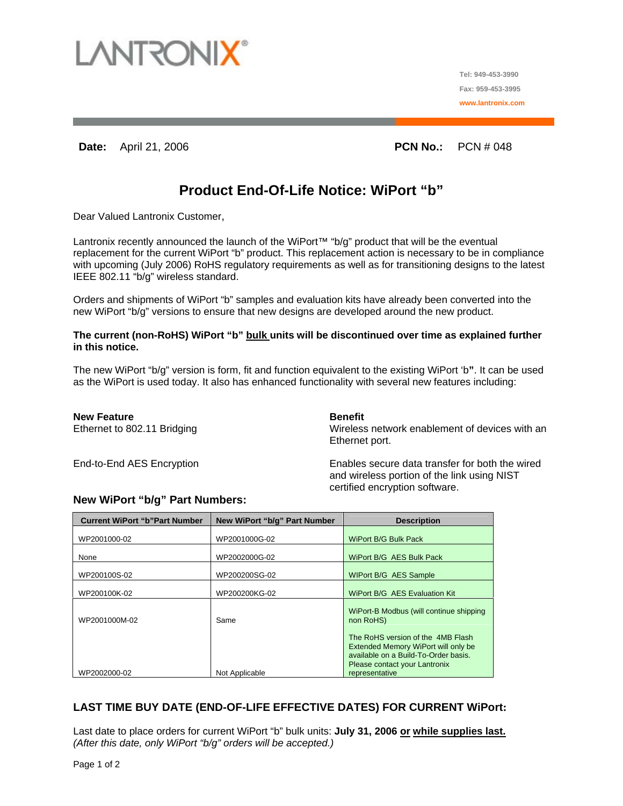

**Tel: 949-453-3990 Fax: 959-453-3995 www.lantronix.com**

# **Date:** April 21, 2006 **PCN No.:**  PCN # 048

# **Product End-Of-Life Notice: WiPort "b"**

Dear Valued Lantronix Customer,

Lantronix recently announced the launch of the WiPort<sup>™</sup> "b/g" product that will be the eventual replacement for the current WiPort "b" product. This replacement action is necessary to be in compliance with upcoming (July 2006) RoHS regulatory requirements as well as for transitioning designs to the latest IEEE 802.11 "b/g" wireless standard.

Orders and shipments of WiPort "b" samples and evaluation kits have already been converted into the new WiPort "b/g" versions to ensure that new designs are developed around the new product.

#### The current (non-RoHS) WiPort "b" bulk units will be discontinued over time as explained further **in this notice.**

The new WiPort "b/g" version is form, fit and function equivalent to the existing WiPort 'b**"**. It can be used as the WiPort is used today. It also has enhanced functionality with several new features including:

**New Feature Contract Contract Contract Contract Contract Contract Contract Contract Contract Contract Contract Contract Contract Contract Contract Contract Contract Contract Contract Contract Contract Contract Contract Co** 

Ethernet to 802.11 Bridging Wireless network enablement of devices with an Ethernet port.

End-to-End AES Encryption Enables secure data transfer for both the wired and wireless portion of the link using NIST certified encryption software.

## **New WiPort "b/g" Part Numbers:**

| New WiPort "b/g" Part Number | <b>Description</b>                                                                                                                                                  |
|------------------------------|---------------------------------------------------------------------------------------------------------------------------------------------------------------------|
| WP2001000G-02                | <b>WiPort B/G Bulk Pack</b>                                                                                                                                         |
| WP2002000G-02                | WiPort B/G AES Bulk Pack                                                                                                                                            |
| WP200200SG-02                | WIPort B/G AES Sample                                                                                                                                               |
| WP200200KG-02                | WiPort B/G AES Evaluation Kit                                                                                                                                       |
| Same                         | WiPort-B Modbus (will continue shipping)<br>non RoHS)                                                                                                               |
|                              | The RoHS version of the 4MB Flash<br>Extended Memory WiPort will only be<br>available on a Build-To-Order basis.<br>Please contact your Lantronix<br>representative |
|                              | Not Applicable                                                                                                                                                      |

## **LAST TIME BUY DATE (END-OF-LIFE EFFECTIVE DATES) FOR CURRENT WiPort:**

Last date to place orders for current WiPort "b" bulk units: **July 31, 2006 or while supplies last.** *(After this date, only WiPort "b/g" orders will be accepted.)*